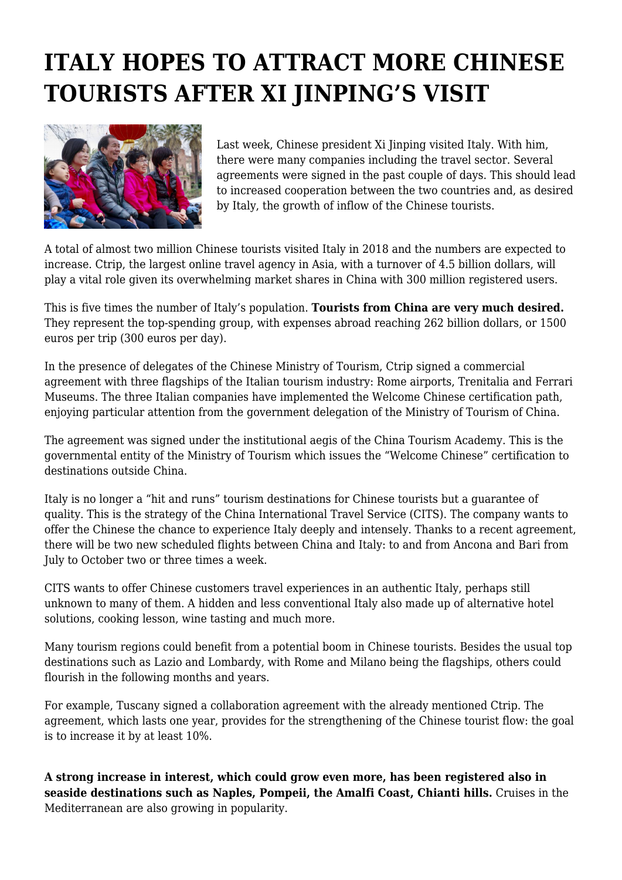## **ITALY HOPES TO ATTRACT MORE CHINESE TOURISTS AFTER XI JINPING'S VISIT**



Last week, Chinese president Xi Jinping visited Italy. With him, there were many companies including the travel sector. Several agreements were signed in the past couple of days. This should lead to increased cooperation between the two countries and, as desired by Italy, the growth of inflow of the Chinese tourists.

A total of almost two million Chinese tourists visited Italy in 2018 and the numbers are expected to increase. Ctrip, the largest online travel agency in Asia, with a turnover of 4.5 billion dollars, will play a vital role given its overwhelming market shares in China with 300 million registered users.

This is five times the number of Italy's population. **Tourists from China are very much desired.** They represent the top-spending group, with expenses abroad reaching 262 billion dollars, or 1500 euros per trip (300 euros per day).

In the presence of delegates of the Chinese Ministry of Tourism, Ctrip signed a commercial agreement with three flagships of the Italian tourism industry: Rome airports, Trenitalia and Ferrari Museums. The three Italian companies have implemented the Welcome Chinese certification path, enjoying particular attention from the government delegation of the Ministry of Tourism of China.

The agreement was signed under the institutional aegis of the China Tourism Academy. This is the governmental entity of the Ministry of Tourism which issues the "Welcome Chinese" certification to destinations outside China.

Italy is no longer a "hit and runs" tourism destinations for Chinese tourists but a guarantee of quality. This is the strategy of the China International Travel Service (CITS). The company wants to offer the Chinese the chance to experience Italy deeply and intensely. Thanks to a recent agreement, there will be two new scheduled flights between China and Italy: to and from Ancona and Bari from July to October two or three times a week.

CITS wants to offer Chinese customers travel experiences in an authentic Italy, perhaps still unknown to many of them. A hidden and less conventional Italy also made up of alternative hotel solutions, cooking lesson, wine tasting and much more.

Many tourism regions could benefit from a potential boom in Chinese tourists. Besides the usual top destinations such as Lazio and Lombardy, with Rome and Milano being the flagships, others could flourish in the following months and years.

For example, Tuscany signed a collaboration agreement with the already mentioned Ctrip. The agreement, which lasts one year, provides for the strengthening of the Chinese tourist flow: the goal is to increase it by at least 10%.

**A strong increase in interest, which could grow even more, has been registered also in seaside destinations such as Naples, Pompeii, the Amalfi Coast, Chianti hills.** Cruises in the Mediterranean are also growing in popularity.